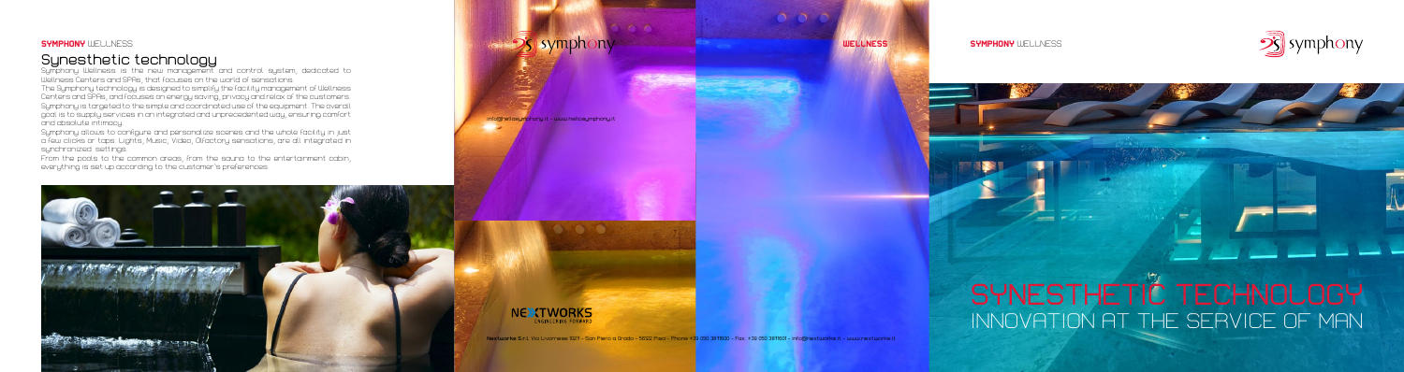### **SYMPHONY** WELLNESS

# Synesthetic technology

Symphony Wellness is the new management and control system, dedicated to Wellness Centers and SPAs, that focuses on the world of sensations. The Symphony technology is designed to simplify the facility management of Wellness Centers and SPAs, and focuses on energy saving, privacy and relax of the customers. Symphony is targeted to the simple and coordinated use of the equipment. The overall goal is to supply services in an integrated and unprecedented way, ensuring comfort and absolute intimacy.

Symphony allows to configure and personalize scenes and the whole facility in just a few clicks or taps: Lights, Music, Video, Olfactory sensations, are all integrated in synchronized settings.

From the pools to the common areas, from the sauna to the entertainment cabin, everything is set up according to the customer's preferences.



# **Symphony**



#### **SYMPHONY WELL NESS**

 $-$ 



info@hellosymphony.it - www.hellosymphony.it



**Nextworks S.r.l.** Via Livornese 1027 - San Piero a Grado - 56122 Pisa - Phone +39 050 3871600 - Fax. +39 050 3871601 - info@nextworks.it - www.nextworks.it

# SYNESTHETIC TECHNOLOGY INNOVATION AT THE SERVICE OF MAN